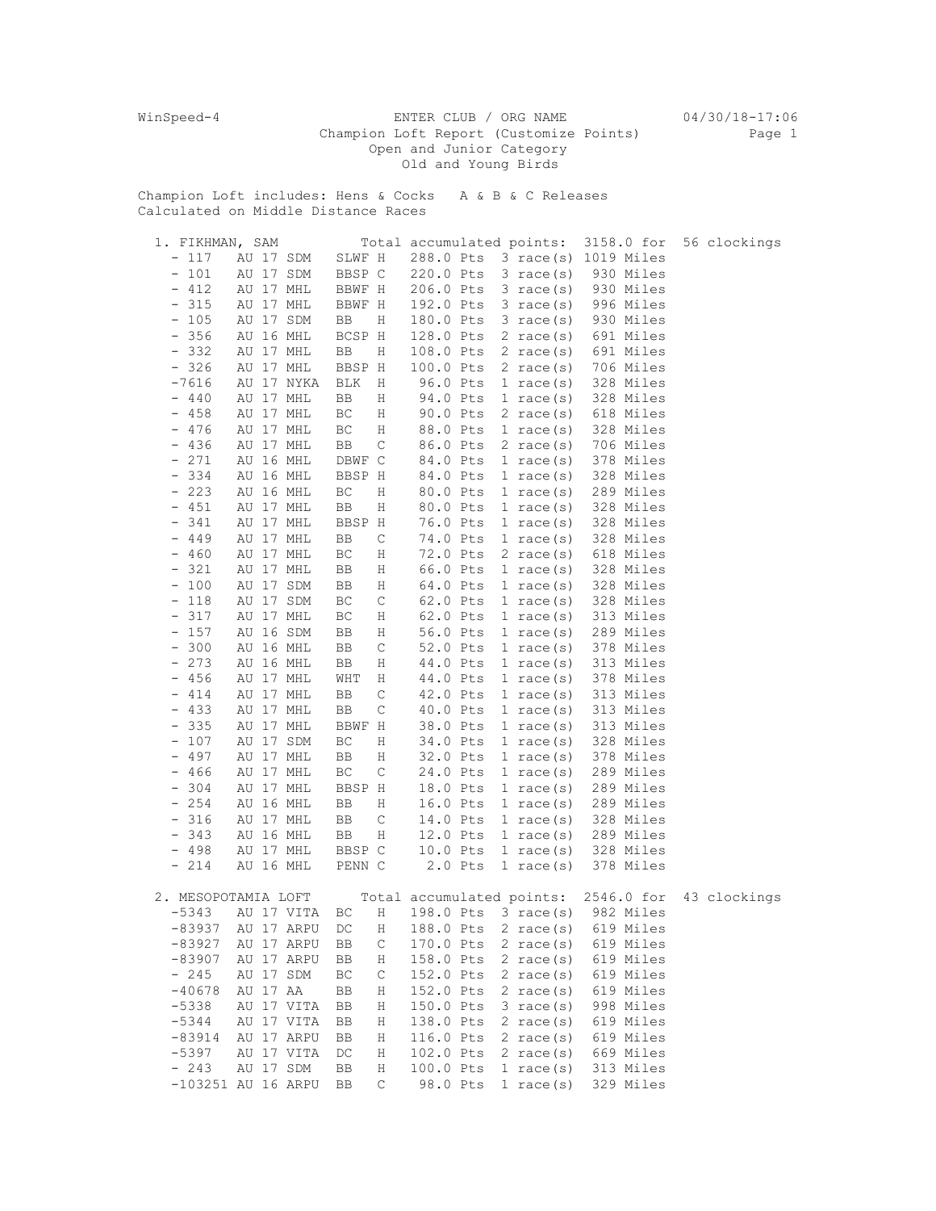WinSpeed-4 ENTER CLUB / ORG NAME 04/30/18-17:06 Champion Loft Report (Customize Points) Page 1 Open and Junior Category Old and Young Birds

Champion Loft includes: Hens & Cocks A & B & C Releases Calculated on Middle Distance Races

| 1. FIKHMAN, SAM                 |                        |  |        |                  | Total accumulated points: |           |  |                     |  | 3158.0 for                     | 56 clockings |
|---------------------------------|------------------------|--|--------|------------------|---------------------------|-----------|--|---------------------|--|--------------------------------|--------------|
| $-117$                          | AU 17 SDM              |  | SLWF H |                  |                           |           |  |                     |  | 288.0 Pts 3 race(s) 1019 Miles |              |
| $-101$                          | AU 17 SDM              |  | BBSP C |                  | 220.0 Pts                 |           |  | $3 \text{ race}(s)$ |  | 930 Miles                      |              |
| $-412$                          | AU 17 MHL              |  | BBWF H |                  | 206.0 Pts                 |           |  | $3 \text{ race(s)}$ |  | 930 Miles                      |              |
| $-315$                          | AU 17 MHL              |  | BBWF H |                  | 192.0 Pts                 |           |  | $3 \text{ race}(s)$ |  | 996 Miles                      |              |
| $-105$                          | AU 17 SDM              |  | BB     | Η                | 180.0 Pts                 |           |  | $3 \text{ race}(s)$ |  | 930 Miles                      |              |
| 356<br>$\qquad \qquad =$        | AU 16 MHL              |  | BCSP H |                  | 128.0 Pts                 |           |  | $2 \text{ race}(s)$ |  | 691 Miles                      |              |
| $-332$                          | AU 17 MHL              |  | BB     | Η                | 108.0 Pts                 |           |  | 2 race(s)           |  | 691 Miles                      |              |
| $-326$                          | AU 17 MHL              |  | BBSP H |                  | 100.0 Pts                 |           |  | $2 \text{ race}(s)$ |  | 706 Miles                      |              |
| $-7616$                         | AU 17 NYKA             |  | BLK    | Η                | 96.0 Pts                  |           |  | $1 \text{ race}(s)$ |  | 328 Miles                      |              |
| $-440$                          | AU 17 MHL              |  | BB     | Η                | 94.0 Pts                  |           |  | $1 \text{ race}(s)$ |  | 328 Miles                      |              |
| $-458$                          | AU 17 MHL              |  | ВC     | Η                | 90.0 Pts                  |           |  | $2 \text{ race}(s)$ |  | 618 Miles                      |              |
| $-476$                          | AU 17 MHL              |  | ВC     | Η                | 88.0 Pts                  |           |  | $1 \text{ race}(s)$ |  | 328 Miles                      |              |
| $-436$                          | AU 17 MHL              |  | BB     | $\mathsf C$      | 86.0 Pts                  |           |  | $2 \text{ race}(s)$ |  | 706 Miles                      |              |
| $-271$                          | AU 16 MHL              |  | DBWF C |                  | 84.0 Pts                  |           |  | $1 \text{ race}(s)$ |  | 378 Miles                      |              |
| 334<br>$\qquad \qquad -$        | AU 16 MHL              |  | BBSP H |                  | 84.0 Pts                  |           |  | $1 \text{ race}(s)$ |  | 328 Miles                      |              |
| $-223$                          | AU 16 MHL              |  | BC     | Η                | 80.0 Pts                  |           |  | $1 \text{ race}(s)$ |  | 289 Miles                      |              |
| $-451$                          | AU 17 MHL              |  | BB     | Η                | 80.0 Pts                  |           |  | $1 \text{ race}(s)$ |  | 328 Miles                      |              |
| $-341$                          | AU 17 MHL              |  | BBSP H |                  | 76.0 Pts                  |           |  | $1 \text{ race}(s)$ |  | 328 Miles                      |              |
| $-449$                          | AU 17 MHL              |  | BB     | С                | 74.0 Pts                  |           |  | 1 race $(s)$        |  | 328 Miles                      |              |
| $-460$                          | AU 17 MHL              |  | ВC     | Η                | 72.0 Pts                  |           |  | 2 race $(s)$        |  | 618 Miles                      |              |
| $-321$                          | AU 17 MHL              |  | BB     | Η                | 66.0 Pts                  |           |  | 1 race $(s)$        |  | 328 Miles                      |              |
| $-100$                          | AU 17 SDM              |  | BB     | Η                | 64.0 Pts                  |           |  | $1 \text{ race}(s)$ |  | 328 Miles                      |              |
| $-118$                          | AU 17 SDM              |  | ВC     | $\mathsf C$      | 62.0 Pts                  |           |  | $1 \text{ race}(s)$ |  | 328 Miles                      |              |
| $-317$                          | AU 17 MHL              |  | ВC     | Η                | 62.0 Pts                  |           |  | $1 \text{ race}(s)$ |  | 313 Miles                      |              |
| $-157$                          | AU 16 SDM              |  | BB     |                  | 56.0 Pts                  |           |  | $1 \text{ race}(s)$ |  | 289 Miles                      |              |
| 300<br>$\qquad \qquad -$        | AU 16 MHL              |  |        | Η<br>$\mathsf C$ | 52.0 Pts                  |           |  | 1 race $(s)$        |  | 378 Miles                      |              |
| $-273$                          |                        |  | BB     |                  |                           |           |  |                     |  |                                |              |
| $-456$                          | AU 16 MHL<br>AU 17 MHL |  | BB     | Η                | 44.0 Pts                  |           |  | $1 \text{ race}(s)$ |  | 313 Miles                      |              |
|                                 |                        |  | WHT    | Η                | 44.0 Pts                  |           |  | $1 \text{ race}(s)$ |  | 378 Miles                      |              |
| $-414$                          | AU 17 MHL              |  | BB     | С                | 42.0 Pts                  |           |  | 1 race $(s)$        |  | 313 Miles                      |              |
| $-433$                          | AU 17 MHL              |  | BB     | $\mathsf C$      | 40.0 Pts                  |           |  | $1 \text{ race}(s)$ |  | 313 Miles                      |              |
| $-335$                          | AU 17 MHL              |  | BBWF H |                  | 38.0 Pts                  |           |  | $1 \text{ race}(s)$ |  | 313 Miles                      |              |
| $-107$                          | AU 17 SDM              |  | ВC     | Η                | 34.0 Pts                  |           |  | $1 \text{ race}(s)$ |  | 328 Miles                      |              |
| 497<br>$\overline{\phantom{a}}$ | AU 17 MHL              |  | BB     | Η                | 32.0 Pts                  |           |  | $1 \text{ race}(s)$ |  | 378 Miles                      |              |
| $-466$                          | AU 17 MHL              |  | ВC     | $\mathsf C$      | 24.0 Pts                  |           |  | $1 \text{ race}(s)$ |  | 289 Miles                      |              |
| 304<br>$\qquad \qquad =$        | AU 17 MHL              |  | BBSP H |                  | 18.0 Pts                  |           |  | $1 \text{ race}(s)$ |  | 289 Miles                      |              |
| $-254$                          | AU 16 MHL              |  | BB     | Η                | 16.0 Pts                  |           |  | $1 \text{ race}(s)$ |  | 289 Miles                      |              |
| $-316$                          | AU 17 MHL              |  | BB     | С                | 14.0 Pts                  |           |  | $1 \text{ race}(s)$ |  | 328 Miles                      |              |
| $-343$                          | AU 16 MHL              |  | BB     | Η                | 12.0 Pts                  |           |  | $1 \text{ race}(s)$ |  | 289 Miles                      |              |
| $-498$                          | AU 17 MHL              |  | BBSP C |                  | 10.0 Pts                  |           |  | 1 race $(s)$        |  | 328 Miles                      |              |
| $-214$                          | AU 16 MHL              |  | PENN C |                  |                           | $2.0$ Pts |  | $1 \text{ race}(s)$ |  | 378 Miles                      |              |
|                                 |                        |  |        |                  |                           |           |  |                     |  |                                |              |
| 2. MESOPOTAMIA LOFT             |                        |  |        |                  | Total accumulated points: |           |  |                     |  | 2546.0 for                     | 43 clockings |
| $-5343$                         | AU 17 VITA             |  | ВC     | Η                | 198.0 Pts                 |           |  | $3 \text{ race}(s)$ |  | 982 Miles                      |              |
| $-83937$                        | AU 17 ARPU             |  | DC     | Η                | 188.0 Pts                 |           |  | $2 \text{ race}(s)$ |  | 619 Miles                      |              |
| $-83927$                        | AU 17 ARPU             |  | BB     | С                | 170.0 Pts                 |           |  | 2 race $(s)$        |  | 619 Miles                      |              |
| $-83907$                        | AU 17 ARPU             |  | BB     | Η                | 158.0 Pts                 |           |  | 2 race $(s)$        |  | 619 Miles                      |              |
| $-245$                          | AU 17 SDM              |  | ВC     | $\mathsf C$      | 152.0 Pts                 |           |  | $2 \text{ race}(s)$ |  | 619 Miles                      |              |
| $-40678$                        | AU 17 AA               |  | BB     | Η                | 152.0 Pts                 |           |  | 2 race $(s)$        |  | 619 Miles                      |              |
| $-5338$                         | AU 17 VITA             |  | BB     | Η                | 150.0 Pts                 |           |  | $3 \text{ race}(s)$ |  | 998 Miles                      |              |
| $-5344$                         | AU 17 VITA             |  | BB     | Η                | 138.0 Pts                 |           |  | 2 race $(s)$        |  | 619 Miles                      |              |
| $-83914$                        | AU 17 ARPU             |  | BB     | Η                | 116.0 Pts                 |           |  | 2 race $(s)$        |  | 619 Miles                      |              |
| $-5397$                         | AU 17 VITA             |  | DC     | Η                | 102.0 Pts                 |           |  | 2 race $(s)$        |  | 669 Miles                      |              |
| $-243$                          | AU 17 SDM              |  | BB     | Η                | 100.0 Pts                 |           |  | 1 race $(s)$        |  | 313 Miles                      |              |
| $-103251$ AU 16 ARPU            |                        |  | BB     | С                | 98.0 Pts                  |           |  | 1 race $(s)$        |  | 329 Miles                      |              |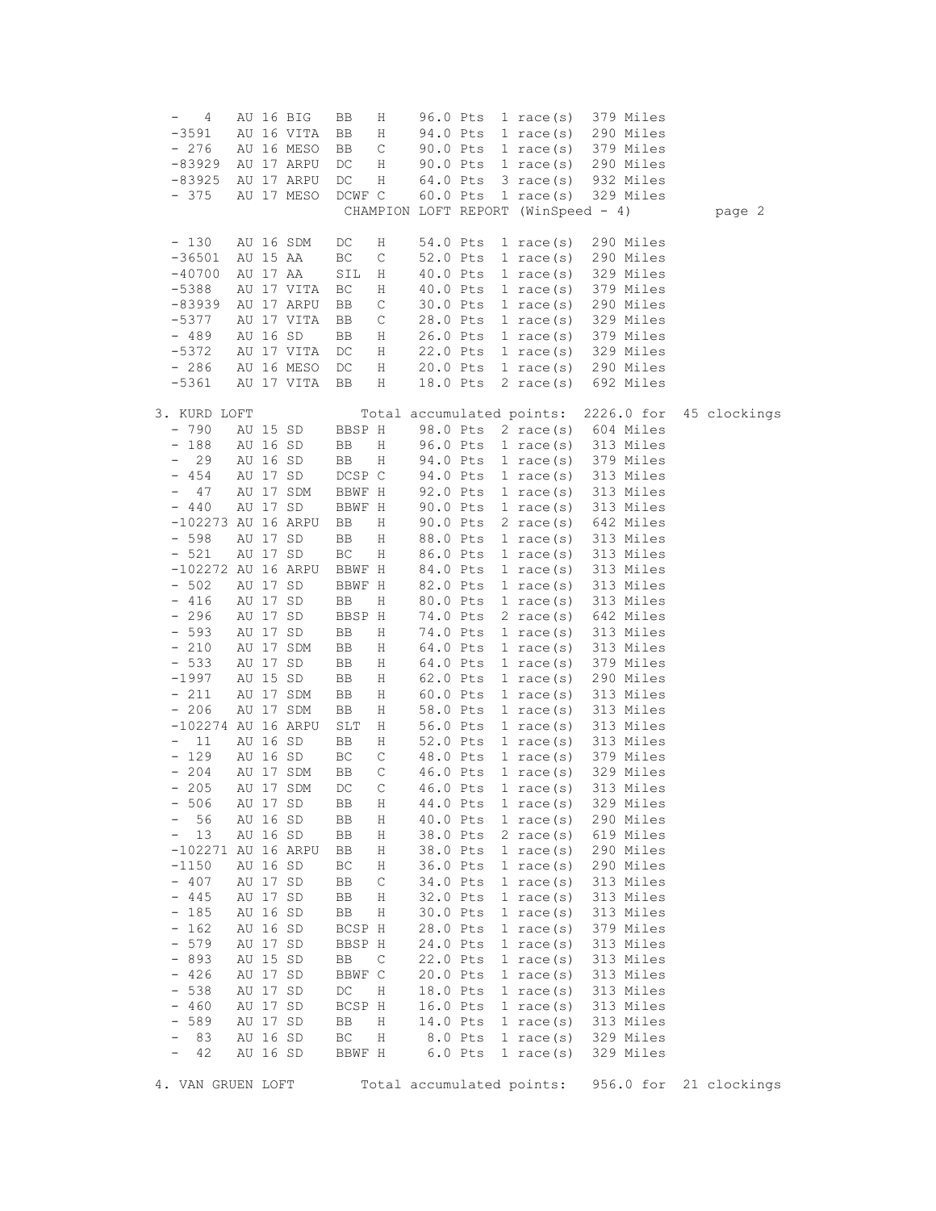| 4                               |          | AU 16 BIG  | BB     | Η            | 96.0 Pts                            |           | 1 race $(s)$        |  | 379 Miles  |              |
|---------------------------------|----------|------------|--------|--------------|-------------------------------------|-----------|---------------------|--|------------|--------------|
| $-3591$                         |          | AU 16 VITA | BB     | Η            | 94.0 Pts                            |           | $1 \text{ race}(s)$ |  | 290 Miles  |              |
| $-276$                          |          | AU 16 MESO | BB     | C            | 90.0 Pts                            |           | $1 \text{ race}(s)$ |  | 379 Miles  |              |
| $-83929$                        |          | AU 17 ARPU | DC     | Η            | 90.0 Pts                            |           | $1 \text{ race}(s)$ |  | 290 Miles  |              |
| $-83925$                        |          | AU 17 ARPU | DC     | Η            | 64.0 Pts                            |           | 3 race(s)           |  | 932 Miles  |              |
| $-375$                          |          | AU 17 MESO | DCWF C |              | 60.0 Pts                            |           | 1 race $(s)$        |  | 329 Miles  |              |
|                                 |          |            |        |              | CHAMPION LOFT REPORT (WinSpeed - 4) |           |                     |  |            | page 2       |
|                                 |          |            |        |              |                                     |           |                     |  |            |              |
| $-130$                          |          | AU 16 SDM  | DC     | Η            | 54.0 Pts                            |           | $1 \text{ race}(s)$ |  | 290 Miles  |              |
| $-36501$                        | AU 15 AA |            | ВC     | C            | 52.0 Pts                            |           | $1 \text{ race}(s)$ |  | 290 Miles  |              |
| $-40700$                        | AU 17 AA |            | SIL    | Η            | 40.0 Pts                            |           | $1 \text{ race}(s)$ |  | 329 Miles  |              |
| $-5388$                         |          | AU 17 VITA | ВC     | Η            | 40.0 Pts                            |           | 1 race(s)           |  | 379 Miles  |              |
| $-83939$                        |          | AU 17 ARPU | BB     | С            | 30.0 Pts                            |           | $1 \text{ race}(s)$ |  | 290 Miles  |              |
| $-5377$                         |          | AU 17 VITA | BB     | $\mathsf C$  | 28.0 Pts                            |           | $1 \text{ race}(s)$ |  | 329 Miles  |              |
| $-489$                          | AU 16 SD |            | BB     | Η            | 26.0 Pts                            |           | $1 \text{ race}(s)$ |  | 379 Miles  |              |
| $-5372$                         |          | AU 17 VITA | DC     | Η            | 22.0 Pts                            |           | $1 \text{ race}(s)$ |  | 329 Miles  |              |
| $-286$                          |          | AU 16 MESO | DC     | Η            | 20.0 Pts                            |           | $1 \text{ race}(s)$ |  | 290 Miles  |              |
| -5361                           |          | AU 17 VITA | BB     | Η            | 18.0 Pts                            |           | 2 race(s)           |  | 692 Miles  |              |
|                                 |          |            |        |              |                                     |           |                     |  |            |              |
| 3. KURD LOFT                    |          |            |        |              | Total accumulated points:           |           |                     |  | 2226.0 for | 45 clockings |
| $-790$                          | AU 15 SD |            | BBSP H |              | 98.0 Pts                            |           | $2 \text{ race}(s)$ |  | 604 Miles  |              |
| $-188$                          | AU 16 SD |            | BB     | Η            | 96.0 Pts                            |           | $1 \text{ race}(s)$ |  | 313 Miles  |              |
| 29                              | AU 16 SD |            | BB     | Η            | 94.0 Pts                            |           | $1 \text{ race}(s)$ |  | 379 Miles  |              |
| 454<br>$\qquad \qquad -$        | AU 17 SD |            | DCSP C |              | 94.0 Pts                            |           | $1 \text{ race}(s)$ |  | 313 Miles  |              |
| 47<br>$\qquad \qquad -$         |          | AU 17 SDM  | BBWF H |              | 92.0 Pts                            |           | $1 \text{ race}(s)$ |  | 313 Miles  |              |
| $-440$                          | AU 17 SD |            | BBWF H |              | 90.0 Pts                            |           | $1 \text{ race}(s)$ |  | 313 Miles  |              |
| -102273 AU 16 ARPU              |          |            | BB     | Η            | 90.0 Pts                            |           | 2 race(s)           |  | 642 Miles  |              |
| $-598$                          | AU 17 SD |            | BB     | Η            | 88.0 Pts                            |           | $1 \text{ race}(s)$ |  | 313 Miles  |              |
| $-521$                          | AU 17 SD |            | ВC     | Η            | 86.0 Pts                            |           | 1 race(s)           |  | 313 Miles  |              |
| $-102272$ AU 16 ARPU            |          |            | BBWF H |              | 84.0 Pts                            |           | $1 \text{ race}(s)$ |  | 313 Miles  |              |
| $-502$                          | AU 17 SD |            | BBWF H |              | 82.0 Pts                            |           | 1 race $(s)$        |  | 313 Miles  |              |
| $-416$                          | AU 17 SD |            | BB     | Η            | 80.0 Pts                            |           | $1 \text{ race}(s)$ |  | 313 Miles  |              |
| $-296$                          | AU 17 SD |            | BBSP H |              | 74.0 Pts                            |           | 2 race(s)           |  | 642 Miles  |              |
| 593<br>$\overline{\phantom{a}}$ | AU 17 SD |            | BB     | Η            | 74.0 Pts                            |           | $1 \text{ race}(s)$ |  | 313 Miles  |              |
| $-210$                          |          | AU 17 SDM  | BB     | Η            | 64.0 Pts                            |           | $1 \text{ race}(s)$ |  | 313 Miles  |              |
| $-533$                          | AU 17 SD |            | BB     | Η            | 64.0 Pts                            |           | $1 \text{ race}(s)$ |  | 379 Miles  |              |
| $-1997$                         | AU 15 SD |            | BB     | Η            | 62.0 Pts                            |           | $1 \text{ race}(s)$ |  | 290 Miles  |              |
| $-211$                          |          | AU 17 SDM  | BB     | Η            | 60.0 Pts                            |           | $1 \text{ race}(s)$ |  | 313 Miles  |              |
| $-206$                          |          | AU 17 SDM  | BB     | Η            | 58.0 Pts                            |           | $1 \text{ race}(s)$ |  | 313 Miles  |              |
| $-102274$ AU 16 ARPU            |          |            | SLT    | Η            | 56.0 Pts                            |           | 1 race $(s)$        |  | 313 Miles  |              |
| 11<br>$\overline{\phantom{a}}$  | AU 16 SD |            | BB     | Η            | 52.0 Pts                            |           | 1 race $(s)$        |  | 313 Miles  |              |
| $-129$                          | AU 16 SD |            | ВC     | $\mathsf C$  | 48.0 Pts                            |           | $1 \text{ race}(s)$ |  | 379 Miles  |              |
| $-204$                          |          | AU 17 SDM  | BB     | С            | 46.0 Pts                            |           | $1 \text{ race}(s)$ |  | 329 Miles  |              |
| $-205$                          |          | AU 17 SDM  | DC     | $\mathsf{C}$ | 46.0 Pts                            |           | 1 race $(s)$        |  | 313 Miles  |              |
| 506                             | AU 17 SD |            | ВB     | Η            | 44.0 Pts                            |           | 1 race $(s)$        |  | 329 Miles  |              |
| 56                              | AU 16 SD |            | BB     | Η            | 40.0 Pts                            |           | 1 race $(s)$        |  | 290 Miles  |              |
| 13                              | AU 16 SD |            | BB     | Η            | 38.0 Pts                            |           | 2 race $(s)$        |  | 619 Miles  |              |
| $-102271$ AU 16 ARPU            |          |            | BB     | Η            | 38.0 Pts                            |           | 1 race $(s)$        |  | 290 Miles  |              |
| $-1150$                         | AU 16 SD |            | ВC     | Η            | 36.0 Pts                            |           | $1 \text{ race}(s)$ |  | 290 Miles  |              |
| $-407$                          | AU 17 SD |            | BB     | С            | 34.0 Pts                            |           | 1 race $(s)$        |  | 313 Miles  |              |
| 445<br>$\qquad \qquad -$        | AU 17    | SD         | BB     | Η            | 32.0 Pts                            |           | 1 race $(s)$        |  | 313 Miles  |              |
| 185<br>$\qquad \qquad =$        | AU 16 SD |            | BB     | Η            | 30.0 Pts                            |           | 1 race $(s)$        |  | 313 Miles  |              |
| 162<br>$\overline{\phantom{a}}$ | AU 16 SD |            | BCSP H |              | 28.0 Pts                            |           | 1 race $(s)$        |  | 379 Miles  |              |
| 579<br>$\qquad \qquad -$        | AU 17 SD |            | BBSP H |              | 24.0 Pts                            |           | 1 race $(s)$        |  | 313 Miles  |              |
| 893<br>$\qquad \qquad -$        | AU 15 SD |            | BB     | C            | 22.0 Pts                            |           | 1 race $(s)$        |  | 313 Miles  |              |
| 426<br>-                        | AU 17 SD |            | BBWF C |              | 20.0 Pts                            |           | $1$ race(s)         |  | 313 Miles  |              |
| 538<br>$\qquad \qquad -$        | AU 17 SD |            | DC     | Η            | 18.0 Pts                            |           | 1 race $(s)$        |  | 313 Miles  |              |
| 460<br>$\qquad \qquad -$        | AU 17 SD |            | BCSP H |              | 16.0 Pts                            |           | 1 race $(s)$        |  | 313 Miles  |              |
| 589<br>-                        | AU 17 SD |            | BB     | Η            | 14.0 Pts                            |           | 1 race $(s)$        |  | 313 Miles  |              |
| 83<br>-                         | AU 16 SD |            | ВC     | Η            |                                     | 8.0 Pts   | 1 race $(s)$        |  | 329 Miles  |              |
| 42<br>$\overline{\phantom{a}}$  | AU 16 SD |            | BBWF H |              |                                     | $6.0$ Pts | $1$ race (s)        |  | 329 Miles  |              |
|                                 |          |            |        |              |                                     |           |                     |  |            |              |
| 4. VAN GRUEN LOFT               |          |            |        |              | Total accumulated points:           |           |                     |  | 956.0 for  | 21 clockings |